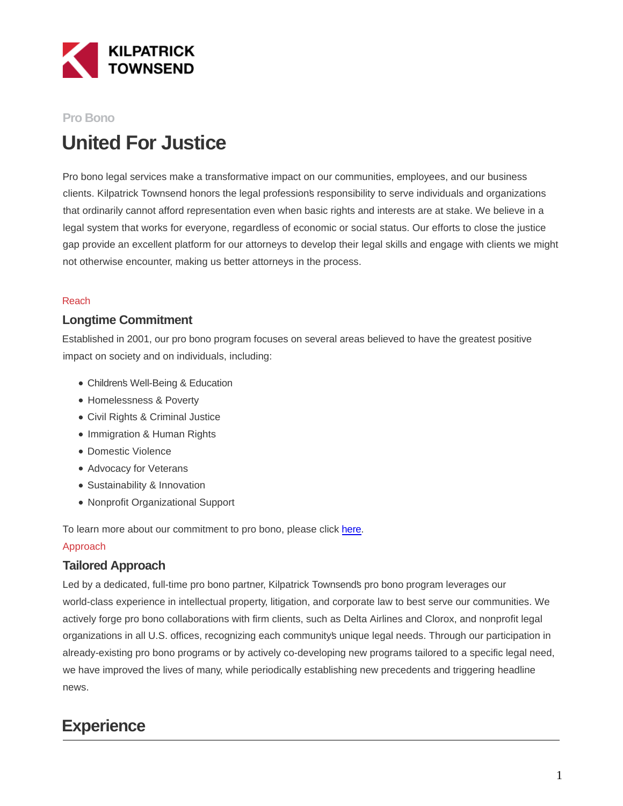

#### **Pro Bono**

# **United For Justice**

Pro bono legal services make a transformative impact on our communities, employees, and our business clients. Kilpatrick Townsend honors the legal profession's responsibility to serve individuals and organizations that ordinarily cannot afford representation even when basic rights and interests are at stake. We believe in a legal system that works for everyone, regardless of economic or social status. Our efforts to close the justice gap provide an excellent platform for our attorneys to develop their legal skills and engage with clients we might not otherwise encounter, making us better attorneys in the process.

#### Reach

#### **Longtime Commitment**

Established in 2001, our pro bono program focuses on several areas believed to have the greatest positive impact on society and on individuals, including:

- Children's Well-Being & Education
- Homelessness & Poverty
- Civil Rights & Criminal Justice
- Immigration & Human Rights
- Domestic Violence
- Advocacy for Veterans
- Sustainability & Innovation
- Nonprofit Organizational Support

To learn more about our commitment to pro bono, please click [here.](https://www.youtube.com/playlist?list=PLR4FeKCAKOf0QB8G1nvWrXP6uMYoW2N3y)

#### Approach

### **Tailored Approach**

Led by a dedicated, full-time pro bono partner, Kilpatrick Townsend's pro bono program leverages our world-class experience in intellectual property, litigation, and corporate law to best serve our communities. We actively forge pro bono collaborations with firm clients, such as Delta Airlines and Clorox, and nonprofit legal organizations in all U.S. offices, recognizing each community's unique legal needs. Through our participation in already-existing pro bono programs or by actively co-developing new programs tailored to a specific legal need, we have improved the lives of many, while periodically establishing new precedents and triggering headline news.

## **Experience**